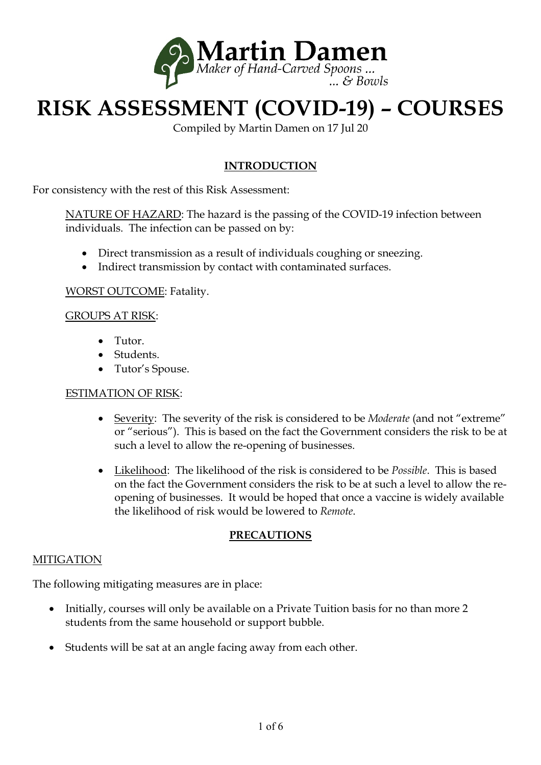

# **RISK ASSESSMENT (COVID-19) – COURSES**

Compiled by Martin Damen on 17 Jul 20

## **INTRODUCTION**

For consistency with the rest of this Risk Assessment:

NATURE OF HAZARD: The hazard is the passing of the COVID-19 infection between individuals. The infection can be passed on by:

- Direct transmission as a result of individuals coughing or sneezing.
- Indirect transmission by contact with contaminated surfaces.

WORST OUTCOME: Fatality.

#### GROUPS AT RISK:

- Tutor.
- Students.
- Tutor's Spouse.

#### ESTIMATION OF RISK:

- Severity: The severity of the risk is considered to be *Moderate* (and not "extreme" or "serious"). This is based on the fact the Government considers the risk to be at such a level to allow the re-opening of businesses.
- Likelihood: The likelihood of the risk is considered to be *Possible*. This is based on the fact the Government considers the risk to be at such a level to allow the reopening of businesses. It would be hoped that once a vaccine is widely available the likelihood of risk would be lowered to *Remote*.

#### **PRECAUTIONS**

#### MITIGATION

The following mitigating measures are in place:

- Initially, courses will only be available on a Private Tuition basis for no than more 2 students from the same household or support bubble.
- Students will be sat at an angle facing away from each other.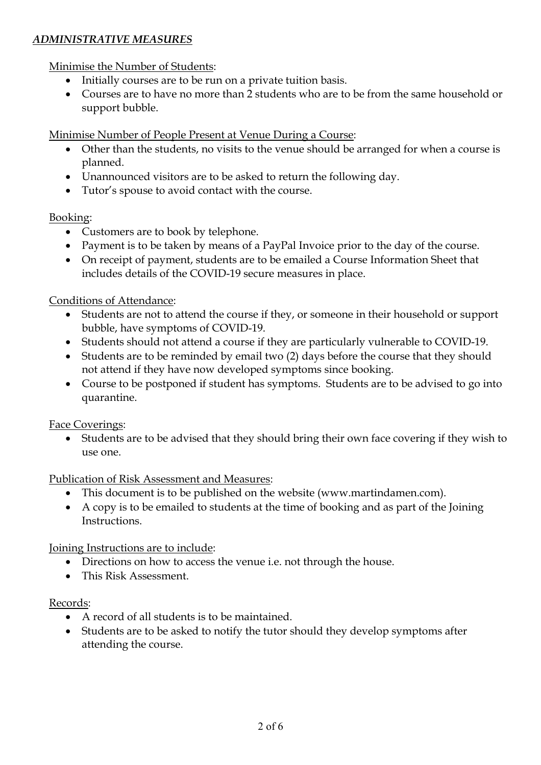## *ADMINISTRATIVE MEASURES*

Minimise the Number of Students:

- Initially courses are to be run on a private tuition basis.
- Courses are to have no more than 2 students who are to be from the same household or support bubble.

Minimise Number of People Present at Venue During a Course:

- Other than the students, no visits to the venue should be arranged for when a course is planned.
- Unannounced visitors are to be asked to return the following day.
- Tutor's spouse to avoid contact with the course.

#### Booking:

- Customers are to book by telephone.
- Payment is to be taken by means of a PayPal Invoice prior to the day of the course.
- On receipt of payment, students are to be emailed a Course Information Sheet that includes details of the COVID-19 secure measures in place.

#### Conditions of Attendance:

- Students are not to attend the course if they, or someone in their household or support bubble, have symptoms of COVID-19.
- Students should not attend a course if they are particularly vulnerable to COVID-19.
- Students are to be reminded by email two (2) days before the course that they should not attend if they have now developed symptoms since booking.
- Course to be postponed if student has symptoms. Students are to be advised to go into quarantine.

Face Coverings:

 Students are to be advised that they should bring their own face covering if they wish to use one.

Publication of Risk Assessment and Measures:

- This document is to be published on the website (www.martindamen.com).
- A copy is to be emailed to students at the time of booking and as part of the Joining Instructions.

Joining Instructions are to include:

- Directions on how to access the venue i.e. not through the house.
- This Risk Assessment.

#### Records:

- A record of all students is to be maintained.
- Students are to be asked to notify the tutor should they develop symptoms after attending the course.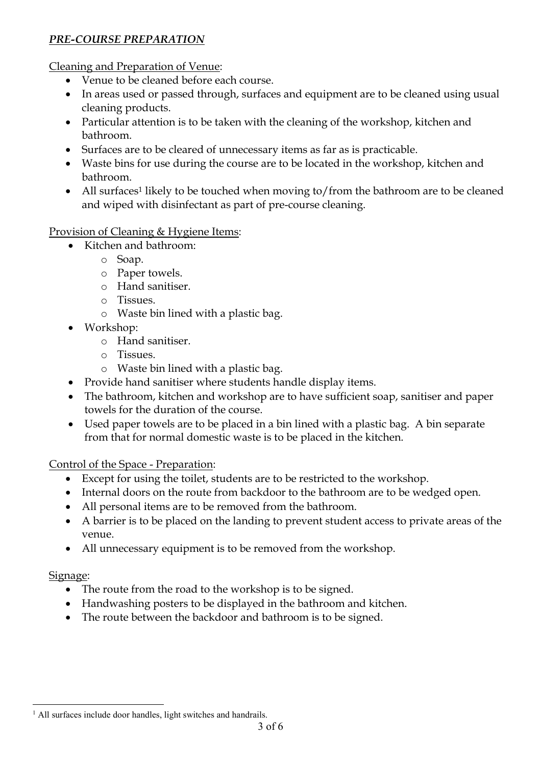# *PRE-COURSE PREPARATION*

Cleaning and Preparation of Venue:

- Venue to be cleaned before each course.
- In areas used or passed through, surfaces and equipment are to be cleaned using usual cleaning products.
- Particular attention is to be taken with the cleaning of the workshop, kitchen and bathroom.
- Surfaces are to be cleared of unnecessary items as far as is practicable.
- Waste bins for use during the course are to be located in the workshop, kitchen and bathroom.
- All surfaces<sup>1</sup> likely to be touched when moving to/from the bathroom are to be cleaned and wiped with disinfectant as part of pre-course cleaning.

# Provision of Cleaning & Hygiene Items:

- Kitchen and bathroom:
	- o Soap.
	- o Paper towels.
	- o Hand sanitiser.
	- o Tissues.
	- o Waste bin lined with a plastic bag.
- Workshop:
	- o Hand sanitiser.
	- o Tissues.
	- o Waste bin lined with a plastic bag.
- Provide hand sanitiser where students handle display items.
- The bathroom, kitchen and workshop are to have sufficient soap, sanitiser and paper towels for the duration of the course.
- Used paper towels are to be placed in a bin lined with a plastic bag. A bin separate from that for normal domestic waste is to be placed in the kitchen.

# Control of the Space - Preparation:

- Except for using the toilet, students are to be restricted to the workshop.
- Internal doors on the route from backdoor to the bathroom are to be wedged open.
- All personal items are to be removed from the bathroom.
- A barrier is to be placed on the landing to prevent student access to private areas of the venue.
- All unnecessary equipment is to be removed from the workshop.

# Signage:

- The route from the road to the workshop is to be signed.
- Handwashing posters to be displayed in the bathroom and kitchen.
- The route between the backdoor and bathroom is to be signed.

 $\overline{a}$ <sup>1</sup> All surfaces include door handles, light switches and handrails.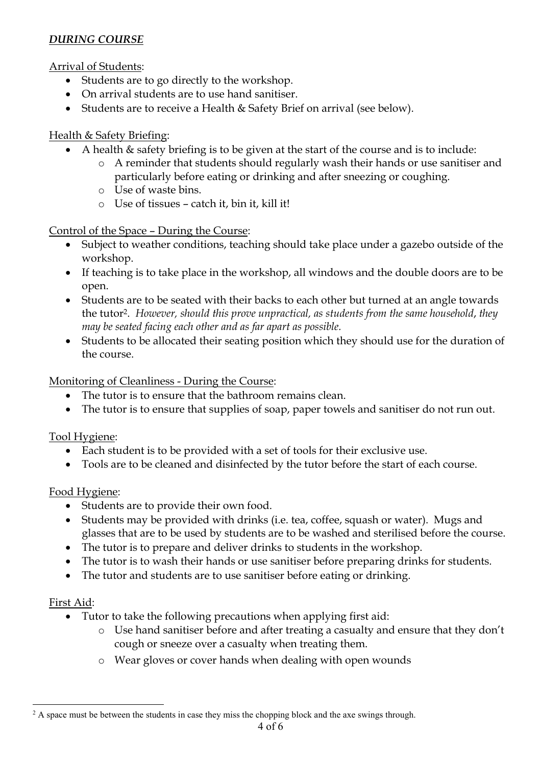# *DURING COURSE*

Arrival of Students:

- Students are to go directly to the workshop.
- On arrival students are to use hand sanitiser.
- Students are to receive a Health & Safety Brief on arrival (see below).

#### Health & Safety Briefing:

- A health & safety briefing is to be given at the start of the course and is to include:
	- o A reminder that students should regularly wash their hands or use sanitiser and particularly before eating or drinking and after sneezing or coughing.
	- o Use of waste bins.
	- o Use of tissues catch it, bin it, kill it!

#### Control of the Space – During the Course:

- Subject to weather conditions, teaching should take place under a gazebo outside of the workshop.
- If teaching is to take place in the workshop, all windows and the double doors are to be open.
- Students are to be seated with their backs to each other but turned at an angle towards the tutor<sup>2</sup>. *However, should this prove unpractical, as students from the same household*, *they may be seated facing each other and as far apart as possible.*
- Students to be allocated their seating position which they should use for the duration of the course.

### Monitoring of Cleanliness - During the Course:

- The tutor is to ensure that the bathroom remains clean.
- The tutor is to ensure that supplies of soap, paper towels and sanitiser do not run out.

# Tool Hygiene:

- Each student is to be provided with a set of tools for their exclusive use.
- Tools are to be cleaned and disinfected by the tutor before the start of each course.

#### Food Hygiene:

- Students are to provide their own food.
- Students may be provided with drinks (i.e. tea, coffee, squash or water). Mugs and glasses that are to be used by students are to be washed and sterilised before the course.
- The tutor is to prepare and deliver drinks to students in the workshop.
- The tutor is to wash their hands or use sanitiser before preparing drinks for students.
- The tutor and students are to use sanitiser before eating or drinking.

#### First Aid:

- Tutor to take the following precautions when applying first aid:
	- o Use hand sanitiser before and after treating a casualty and ensure that they don't cough or sneeze over a casualty when treating them.
	- o Wear gloves or cover hands when dealing with open wounds

 $\overline{a}$  $2A$  space must be between the students in case they miss the chopping block and the axe swings through.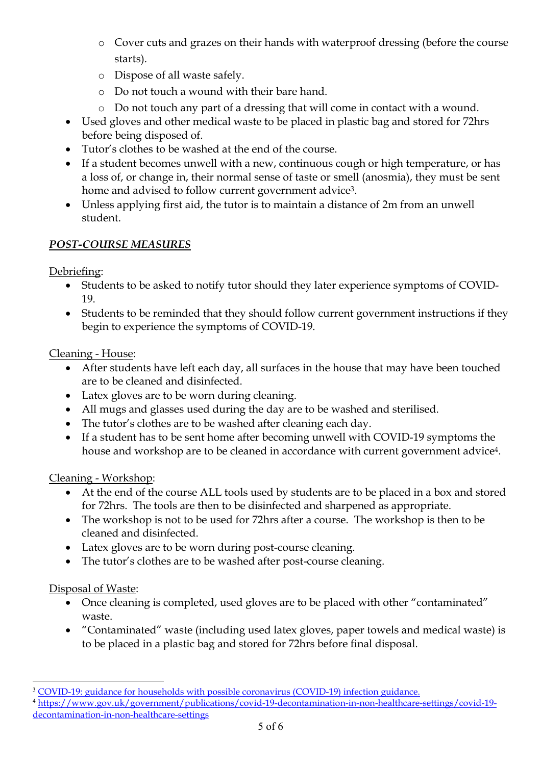- o Cover cuts and grazes on their hands with waterproof dressing (before the course starts).
- o Dispose of all waste safely.
- o Do not touch a wound with their bare hand.
- o Do not touch any part of a dressing that will come in contact with a wound.
- Used gloves and other medical waste to be placed in plastic bag and stored for 72hrs before being disposed of.
- Tutor's clothes to be washed at the end of the course.
- If a student becomes unwell with a new, continuous cough or high temperature, or has a loss of, or change in, their normal sense of taste or smell (anosmia), they must be sent home and advised to follow current government advice 3.
- Unless applying first aid, the tutor is to maintain a distance of 2m from an unwell student.

# *POST-COURSE MEASURES*

Debriefing:

- Students to be asked to notify tutor should they later experience symptoms of COVID-19.
- Students to be reminded that they should follow current government instructions if they begin to experience the symptoms of COVID-19.

Cleaning - House:

- After students have left each day, all surfaces in the house that may have been touched are to be cleaned and disinfected.
- Latex gloves are to be worn during cleaning.
- All mugs and glasses used during the day are to be washed and sterilised.
- The tutor's clothes are to be washed after cleaning each day.
- If a student has to be sent home after becoming unwell with COVID-19 symptoms the house and workshop are to be cleaned in accordance with current government advice<sup>4</sup>.

# Cleaning - Workshop:

- At the end of the course ALL tools used by students are to be placed in a box and stored for 72hrs. The tools are then to be disinfected and sharpened as appropriate.
- The workshop is not to be used for 72hrs after a course. The workshop is then to be cleaned and disinfected.
- Latex gloves are to be worn during post-course cleaning.
- The tutor's clothes are to be washed after post-course cleaning.

# Disposal of Waste:

 $\overline{a}$ 

- Once cleaning is completed, used gloves are to be placed with other "contaminated" waste.
- "Contaminated" waste (including used latex gloves, paper towels and medical waste) is to be placed in a plastic bag and stored for 72hrs before final disposal.

<sup>&</sup>lt;sup>3</sup> COVID-19: guidance for households with possible coronavirus (COVID-19) infection guidance.

<sup>4</sup> https://www.gov.uk/government/publications/covid-19-decontamination-in-non-healthcare-settings/covid-19 decontamination-in-non-healthcare-settings